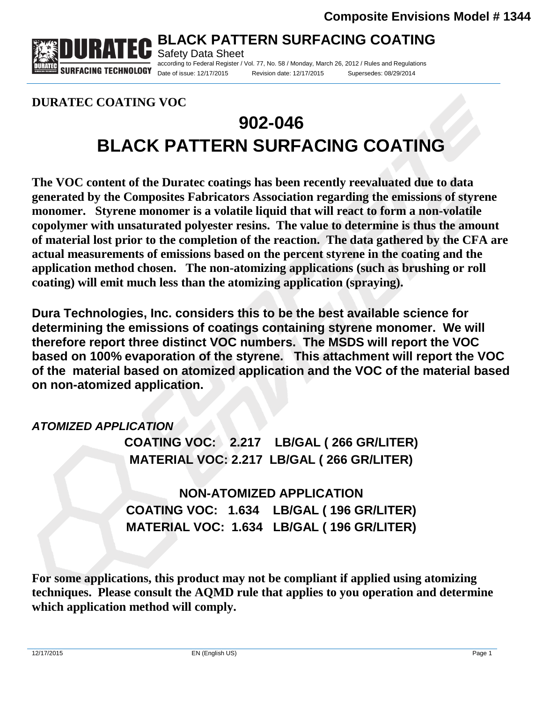

Safety Data Sheet according to Federal Register / Vol. 77, No. 58 / Monday, March 26, 2012 / Rules and Regulations Date of issue: 12/17/2015 Revision date: 12/17/2015 Supersedes: 08/29/2014

**DURATEC COATING VOC** 

# **902-046 BLACK PATTERN SURFACING COATING**

**The VOC content of the Duratec coatings has been recently reevaluated due to data generated by the Composites Fabricators Association regarding the emissions of styrene monomer. Styrene monomer is a volatile liquid that will react to form a non-volatile copolymer with unsaturated polyester resins. The value to determine is thus the amount of material lost prior to the completion of the reaction. The data gathered by the CFA are actual measurements of emissions based on the percent styrene in the coating and the application method chosen. The non-atomizing applications (such as brushing or roll coating) will emit much less than the atomizing application (spraying).** 

**Dura Technologies, Inc. considers this to be the best available science for determining the emissions of coatings containing styrene monomer. We will therefore report three distinct VOC numbers. The MSDS will report the VOC based on 100% evaporation of the styrene. This attachment will report the VOC of the material based on atomized application and the VOC of the material based on non-atomized application.** 

### *ATOMIZED APPLICATION*

**COATING VOC: 2.217 LB/GAL ( 266 GR/LITER) MATERIAL VOC: 2.217 LB/GAL ( 266 GR/LITER)** 

**NON-ATOMIZED APPLICATION COATING VOC: 1.634 LB/GAL ( 196 GR/LITER) MATERIAL VOC: 1.634 LB/GAL ( 196 GR/LITER)** 

**For some applications, this product may not be compliant if applied using atomizing techniques. Please consult the AQMD rule that applies to you operation and determine which application method will comply.**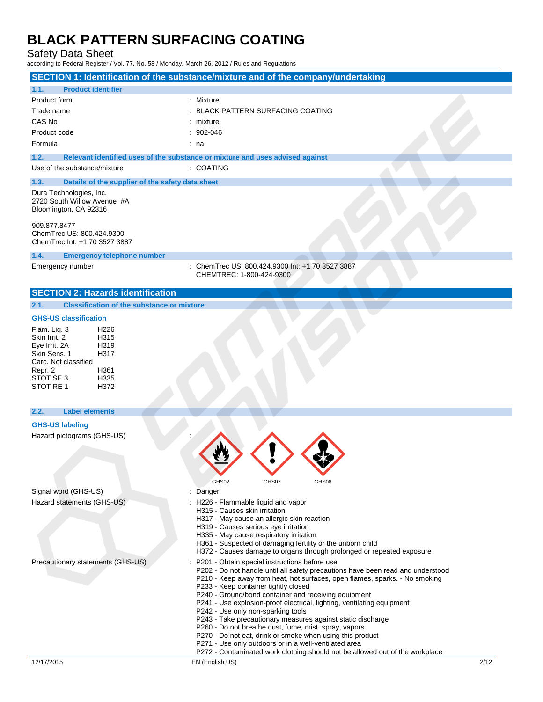Safety Data Sheet

| <b>Product identifier</b><br>1.1.<br>Product form<br>: Mixture<br>Trade name<br>: BLACK PATTERN SURFACING COATING<br>CAS No<br>$:$ mixture<br>Product code<br>$: 902 - 046$<br>Formula<br>: na<br>1.2.<br>Relevant identified uses of the substance or mixture and uses advised against<br>Use of the substance/mixture<br>: COATING<br>1.3.<br>Details of the supplier of the safety data sheet<br>Dura Technologies, Inc.<br>2720 South Willow Avenue #A<br>Bloomington, CA 92316<br>909.877.8477<br>ChemTrec US: 800.424.9300<br>Chem Trec Int: +1 70 3527 3887<br>1.4.<br><b>Emergency telephone number</b><br>Emergency number<br>: ChemTrec US: 800.424.9300 Int: +1 70 3527 3887<br>CHEMTREC: 1-800-424-9300<br><b>SECTION 2: Hazards identification</b><br><b>Classification of the substance or mixture</b><br>2.1.<br><b>GHS-US classification</b><br>Flam. Liq. 3<br>H <sub>226</sub><br>Skin Irrit. 2<br>H315<br>Eye Irrit. 2A<br>H319<br>Skin Sens. 1<br>H317<br>Carc. Not classified<br>H361<br>Repr. 2<br>STOT SE 3<br>H335<br>STOT RE 1<br>H372 |      |
|-----------------------------------------------------------------------------------------------------------------------------------------------------------------------------------------------------------------------------------------------------------------------------------------------------------------------------------------------------------------------------------------------------------------------------------------------------------------------------------------------------------------------------------------------------------------------------------------------------------------------------------------------------------------------------------------------------------------------------------------------------------------------------------------------------------------------------------------------------------------------------------------------------------------------------------------------------------------------------------------------------------------------------------------------------------------|------|
|                                                                                                                                                                                                                                                                                                                                                                                                                                                                                                                                                                                                                                                                                                                                                                                                                                                                                                                                                                                                                                                                 |      |
|                                                                                                                                                                                                                                                                                                                                                                                                                                                                                                                                                                                                                                                                                                                                                                                                                                                                                                                                                                                                                                                                 |      |
|                                                                                                                                                                                                                                                                                                                                                                                                                                                                                                                                                                                                                                                                                                                                                                                                                                                                                                                                                                                                                                                                 |      |
|                                                                                                                                                                                                                                                                                                                                                                                                                                                                                                                                                                                                                                                                                                                                                                                                                                                                                                                                                                                                                                                                 |      |
|                                                                                                                                                                                                                                                                                                                                                                                                                                                                                                                                                                                                                                                                                                                                                                                                                                                                                                                                                                                                                                                                 |      |
|                                                                                                                                                                                                                                                                                                                                                                                                                                                                                                                                                                                                                                                                                                                                                                                                                                                                                                                                                                                                                                                                 |      |
|                                                                                                                                                                                                                                                                                                                                                                                                                                                                                                                                                                                                                                                                                                                                                                                                                                                                                                                                                                                                                                                                 |      |
|                                                                                                                                                                                                                                                                                                                                                                                                                                                                                                                                                                                                                                                                                                                                                                                                                                                                                                                                                                                                                                                                 |      |
|                                                                                                                                                                                                                                                                                                                                                                                                                                                                                                                                                                                                                                                                                                                                                                                                                                                                                                                                                                                                                                                                 |      |
|                                                                                                                                                                                                                                                                                                                                                                                                                                                                                                                                                                                                                                                                                                                                                                                                                                                                                                                                                                                                                                                                 |      |
|                                                                                                                                                                                                                                                                                                                                                                                                                                                                                                                                                                                                                                                                                                                                                                                                                                                                                                                                                                                                                                                                 |      |
|                                                                                                                                                                                                                                                                                                                                                                                                                                                                                                                                                                                                                                                                                                                                                                                                                                                                                                                                                                                                                                                                 |      |
|                                                                                                                                                                                                                                                                                                                                                                                                                                                                                                                                                                                                                                                                                                                                                                                                                                                                                                                                                                                                                                                                 |      |
|                                                                                                                                                                                                                                                                                                                                                                                                                                                                                                                                                                                                                                                                                                                                                                                                                                                                                                                                                                                                                                                                 |      |
|                                                                                                                                                                                                                                                                                                                                                                                                                                                                                                                                                                                                                                                                                                                                                                                                                                                                                                                                                                                                                                                                 |      |
|                                                                                                                                                                                                                                                                                                                                                                                                                                                                                                                                                                                                                                                                                                                                                                                                                                                                                                                                                                                                                                                                 |      |
| 2.2.<br><b>Label elements</b>                                                                                                                                                                                                                                                                                                                                                                                                                                                                                                                                                                                                                                                                                                                                                                                                                                                                                                                                                                                                                                   |      |
| <b>GHS-US labeling</b>                                                                                                                                                                                                                                                                                                                                                                                                                                                                                                                                                                                                                                                                                                                                                                                                                                                                                                                                                                                                                                          |      |
| Hazard pictograms (GHS-US)<br>GHS02<br>GHS07<br>GHS08                                                                                                                                                                                                                                                                                                                                                                                                                                                                                                                                                                                                                                                                                                                                                                                                                                                                                                                                                                                                           |      |
| Signal word (GHS-US)<br>Danger                                                                                                                                                                                                                                                                                                                                                                                                                                                                                                                                                                                                                                                                                                                                                                                                                                                                                                                                                                                                                                  |      |
| Hazard statements (GHS-US)<br>: H226 - Flammable liquid and vapor<br>H315 - Causes skin irritation<br>H317 - May cause an allergic skin reaction<br>H319 - Causes serious eye irritation<br>H335 - May cause respiratory irritation<br>H361 - Suspected of damaging fertility or the unborn child<br>H372 - Causes damage to organs through prolonged or repeated exposure                                                                                                                                                                                                                                                                                                                                                                                                                                                                                                                                                                                                                                                                                      |      |
| Precautionary statements (GHS-US)<br>: P201 - Obtain special instructions before use<br>P202 - Do not handle until all safety precautions have been read and understood<br>P210 - Keep away from heat, hot surfaces, open flames, sparks. - No smoking<br>P233 - Keep container tightly closed<br>P240 - Ground/bond container and receiving equipment<br>P241 - Use explosion-proof electrical, lighting, ventilating equipment<br>P242 - Use only non-sparking tools<br>P243 - Take precautionary measures against static discharge<br>P260 - Do not breathe dust, fume, mist, spray, vapors<br>P270 - Do not eat, drink or smoke when using this product<br>P271 - Use only outdoors or in a well-ventilated area<br>P272 - Contaminated work clothing should not be allowed out of the workplace<br>12/17/2015<br>EN (English US)                                                                                                                                                                                                                           | 2/12 |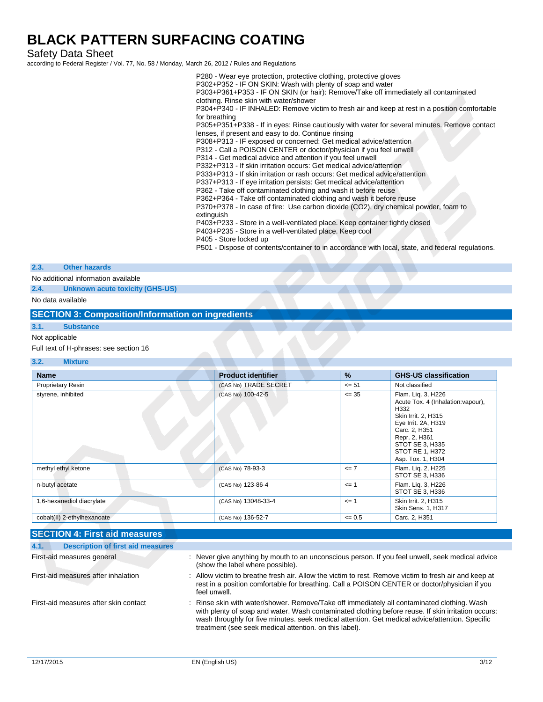Safety Data Sheet

according to Federal Register / Vol. 77, No. 58 / Monday, March 26, 2012 / Rules and Regulations

P280 - Wear eye protection, protective clothing, protective gloves P302+P352 - IF ON SKIN: Wash with plenty of soap and water P303+P361+P353 - IF ON SKIN (or hair): Remove/Take off immediately all contaminated clothing. Rinse skin with water/shower P304+P340 - IF INHALED: Remove victim to fresh air and keep at rest in a position comfortable for breathing P305+P351+P338 - If in eyes: Rinse cautiously with water for several minutes. Remove contact lenses, if present and easy to do. Continue rinsing P308+P313 - IF exposed or concerned: Get medical advice/attention P312 - Call a POISON CENTER or doctor/physician if you feel unwell P314 - Get medical advice and attention if you feel unwell P332+P313 - If skin irritation occurs: Get medical advice/attention P333+P313 - If skin irritation or rash occurs: Get medical advice/attention P337+P313 - If eye irritation persists: Get medical advice/attention P362 - Take off contaminated clothing and wash it before reuse P362+P364 - Take off contaminated clothing and wash it before reuse P370+P378 - In case of fire: Use carbon dioxide (CO2), dry chemical powder, foam to extinguish P403+P233 - Store in a well-ventilated place. Keep container tightly closed P403+P235 - Store in a well-ventilated place. Keep cool P405 - Store locked up P501 - Dispose of contents/container to in accordance with local, state, and federal regulations.

#### **2.3. Other hazards**

No additional information available

**2.4. Unknown acute toxicity (GHS-US)**

No data available

#### **SECTION 3: Composition/Information on ingredients**

### **3.1. Substance**

### Not applicable

Full text of H-phrases: see section 16

#### **3.2. Mixture**

| <b>Name</b>                 | <b>Product identifier</b> | %         | <b>GHS-US classification</b>                                                                                                                                                                                |
|-----------------------------|---------------------------|-----------|-------------------------------------------------------------------------------------------------------------------------------------------------------------------------------------------------------------|
| <b>Proprietary Resin</b>    | (CAS No) TRADE SECRET     | $\leq$ 51 | Not classified                                                                                                                                                                                              |
| styrene, inhibited          | (CAS No) 100-42-5         | $\leq$ 35 | Flam. Lig. 3, H226<br>Acute Tox. 4 (Inhalation: vapour),<br>H332<br>Skin Irrit. 2, H315<br>Eye Irrit. 2A, H319<br>Carc. 2, H351<br>Repr. 2, H361<br>STOT SE 3, H335<br>STOT RE 1, H372<br>Asp. Tox. 1, H304 |
| methyl ethyl ketone         | (CAS No) 78-93-3          | $\leq$ 7  | Flam. Liq. 2, H225<br>STOT SE 3, H336                                                                                                                                                                       |
| n-butyl acetate             | (CAS No) 123-86-4         | $\leq$ 1  | Flam. Lig. 3, H226<br>STOT SE 3, H336                                                                                                                                                                       |
| 1,6-hexanediol diacrylate   | (CAS No) 13048-33-4       | $\leq$ 1  | Skin Irrit. 2, H315<br>Skin Sens. 1, H317                                                                                                                                                                   |
| cobalt(II) 2-ethylhexanoate | (CAS No) 136-52-7         | $= 0.5$   | Carc. 2, H351                                                                                                                                                                                               |

### **SECTION 4: First aid measures**

| <b>Description of first aid measures</b><br>4.1. |                                                                                                                                                                                                                                                                                                                                                                |
|--------------------------------------------------|----------------------------------------------------------------------------------------------------------------------------------------------------------------------------------------------------------------------------------------------------------------------------------------------------------------------------------------------------------------|
| First-aid measures general                       | : Never give anything by mouth to an unconscious person. If you feel unwell, seek medical advice<br>(show the label where possible).                                                                                                                                                                                                                           |
| First-aid measures after inhalation              | : Allow victim to breathe fresh air. Allow the victim to rest. Remove victim to fresh air and keep at<br>rest in a position comfortable for breathing. Call a POISON CENTER or doctor/physician if you<br>feel unwell.                                                                                                                                         |
| First-aid measures after skin contact            | : Rinse skin with water/shower. Remove/Take off immediately all contaminated clothing. Wash<br>with plenty of soap and water. Wash contaminated clothing before reuse. If skin irritation occurs:<br>wash throughly for five minutes, seek medical attention. Get medical advice/attention. Specific<br>treatment (see seek medical attention, on this label). |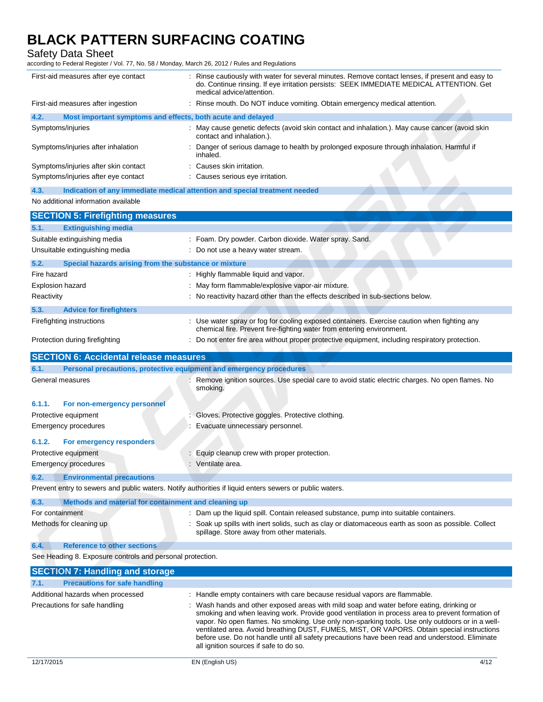Safety Data Sheet

| First-aid measures after eye contact                                                                    | Rinse cautiously with water for several minutes. Remove contact lenses, if present and easy to<br>do. Continue rinsing. If eye irritation persists: SEEK IMMEDIATE MEDICAL ATTENTION. Get<br>medical advice/attention.                                                                                                                                                                                                                                                                                                                  |
|---------------------------------------------------------------------------------------------------------|-----------------------------------------------------------------------------------------------------------------------------------------------------------------------------------------------------------------------------------------------------------------------------------------------------------------------------------------------------------------------------------------------------------------------------------------------------------------------------------------------------------------------------------------|
| First-aid measures after ingestion                                                                      | : Rinse mouth. Do NOT induce vomiting. Obtain emergency medical attention.                                                                                                                                                                                                                                                                                                                                                                                                                                                              |
| 4.2.<br>Most important symptoms and effects, both acute and delayed                                     |                                                                                                                                                                                                                                                                                                                                                                                                                                                                                                                                         |
| Symptoms/injuries                                                                                       | : May cause genetic defects (avoid skin contact and inhalation.). May cause cancer (avoid skin<br>contact and inhalation.).                                                                                                                                                                                                                                                                                                                                                                                                             |
| Symptoms/injuries after inhalation                                                                      | Danger of serious damage to health by prolonged exposure through inhalation. Harmful if<br>inhaled.                                                                                                                                                                                                                                                                                                                                                                                                                                     |
| Symptoms/injuries after skin contact                                                                    | : Causes skin irritation.                                                                                                                                                                                                                                                                                                                                                                                                                                                                                                               |
| Symptoms/injuries after eye contact                                                                     | : Causes serious eye irritation.                                                                                                                                                                                                                                                                                                                                                                                                                                                                                                        |
| 4.3.<br>Indication of any immediate medical attention and special treatment needed                      |                                                                                                                                                                                                                                                                                                                                                                                                                                                                                                                                         |
| No additional information available                                                                     |                                                                                                                                                                                                                                                                                                                                                                                                                                                                                                                                         |
| <b>SECTION 5: Firefighting measures</b>                                                                 |                                                                                                                                                                                                                                                                                                                                                                                                                                                                                                                                         |
| <b>Extinguishing media</b><br>5.1.                                                                      |                                                                                                                                                                                                                                                                                                                                                                                                                                                                                                                                         |
| Suitable extinguishing media                                                                            | : Foam. Dry powder. Carbon dioxide. Water spray. Sand.                                                                                                                                                                                                                                                                                                                                                                                                                                                                                  |
| Unsuitable extinguishing media                                                                          | : Do not use a heavy water stream.                                                                                                                                                                                                                                                                                                                                                                                                                                                                                                      |
| 5.2.<br>Special hazards arising from the substance or mixture                                           |                                                                                                                                                                                                                                                                                                                                                                                                                                                                                                                                         |
| Fire hazard                                                                                             | : Highly flammable liquid and vapor.                                                                                                                                                                                                                                                                                                                                                                                                                                                                                                    |
| <b>Explosion hazard</b>                                                                                 | May form flammable/explosive vapor-air mixture.                                                                                                                                                                                                                                                                                                                                                                                                                                                                                         |
| Reactivity                                                                                              | No reactivity hazard other than the effects described in sub-sections below.                                                                                                                                                                                                                                                                                                                                                                                                                                                            |
| 5.3.<br><b>Advice for firefighters</b>                                                                  |                                                                                                                                                                                                                                                                                                                                                                                                                                                                                                                                         |
| Firefighting instructions                                                                               | : Use water spray or fog for cooling exposed containers. Exercise caution when fighting any                                                                                                                                                                                                                                                                                                                                                                                                                                             |
|                                                                                                         | chemical fire. Prevent fire-fighting water from entering environment.                                                                                                                                                                                                                                                                                                                                                                                                                                                                   |
| Protection during firefighting                                                                          | : Do not enter fire area without proper protective equipment, including respiratory protection.                                                                                                                                                                                                                                                                                                                                                                                                                                         |
| <b>SECTION 6: Accidental release measures</b>                                                           |                                                                                                                                                                                                                                                                                                                                                                                                                                                                                                                                         |
| Personal precautions, protective equipment and emergency procedures<br>6.1.                             |                                                                                                                                                                                                                                                                                                                                                                                                                                                                                                                                         |
| General measures                                                                                        | Remove ignition sources. Use special care to avoid static electric charges. No open flames. No<br>smoking.                                                                                                                                                                                                                                                                                                                                                                                                                              |
| 6.1.1.<br>For non-emergency personnel                                                                   |                                                                                                                                                                                                                                                                                                                                                                                                                                                                                                                                         |
| Protective equipment                                                                                    | Gloves. Protective goggles. Protective clothing.                                                                                                                                                                                                                                                                                                                                                                                                                                                                                        |
| Emergency procedures                                                                                    | Evacuate unnecessary personnel.                                                                                                                                                                                                                                                                                                                                                                                                                                                                                                         |
| 6.1.2.<br>For emergency responders                                                                      |                                                                                                                                                                                                                                                                                                                                                                                                                                                                                                                                         |
| Protective equipment                                                                                    | : Equip cleanup crew with proper protection.                                                                                                                                                                                                                                                                                                                                                                                                                                                                                            |
| Emergency procedures                                                                                    | Ventilate area.                                                                                                                                                                                                                                                                                                                                                                                                                                                                                                                         |
| <b>Environmental precautions</b><br>6.2.                                                                |                                                                                                                                                                                                                                                                                                                                                                                                                                                                                                                                         |
| Prevent entry to sewers and public waters. Notify authorities if liquid enters sewers or public waters. |                                                                                                                                                                                                                                                                                                                                                                                                                                                                                                                                         |
| 6.3.<br>Methods and material for containment and cleaning up                                            |                                                                                                                                                                                                                                                                                                                                                                                                                                                                                                                                         |
| For containment                                                                                         | Dam up the liquid spill. Contain released substance, pump into suitable containers.                                                                                                                                                                                                                                                                                                                                                                                                                                                     |
| Methods for cleaning up                                                                                 | Soak up spills with inert solids, such as clay or diatomaceous earth as soon as possible. Collect                                                                                                                                                                                                                                                                                                                                                                                                                                       |
|                                                                                                         | spillage. Store away from other materials.                                                                                                                                                                                                                                                                                                                                                                                                                                                                                              |
| 6.4.<br><b>Reference to other sections</b>                                                              |                                                                                                                                                                                                                                                                                                                                                                                                                                                                                                                                         |
| See Heading 8. Exposure controls and personal protection.                                               |                                                                                                                                                                                                                                                                                                                                                                                                                                                                                                                                         |
| <b>SECTION 7: Handling and storage</b>                                                                  |                                                                                                                                                                                                                                                                                                                                                                                                                                                                                                                                         |
| <b>Precautions for safe handling</b><br>7.1.                                                            |                                                                                                                                                                                                                                                                                                                                                                                                                                                                                                                                         |
| Additional hazards when processed                                                                       | : Handle empty containers with care because residual vapors are flammable.                                                                                                                                                                                                                                                                                                                                                                                                                                                              |
| Precautions for safe handling                                                                           | Wash hands and other exposed areas with mild soap and water before eating, drinking or<br>smoking and when leaving work. Provide good ventilation in process area to prevent formation of<br>vapor. No open flames. No smoking. Use only non-sparking tools. Use only outdoors or in a well-<br>ventilated area. Avoid breathing DUST, FUMES, MIST, OR VAPORS. Obtain special instructions<br>before use. Do not handle until all safety precautions have been read and understood. Eliminate<br>all ignition sources if safe to do so. |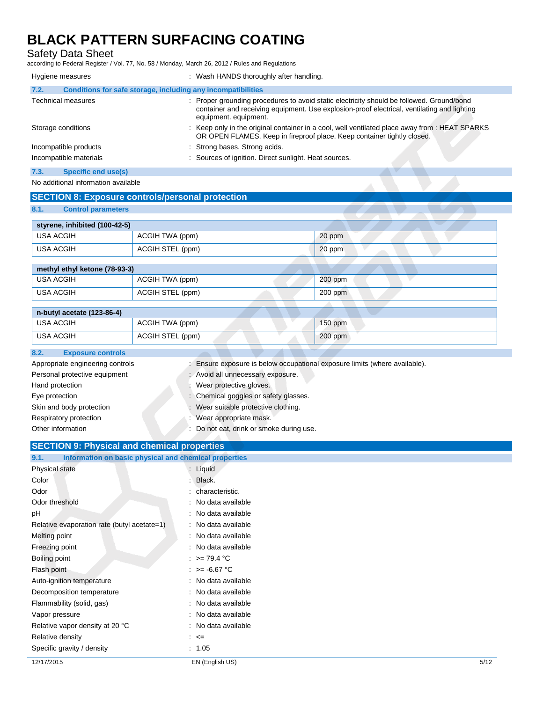Safety Data Sheet

| Hygiene measures          |                                                              | : Wash HANDS thoroughly after handling.                                                                                                                                                                           |
|---------------------------|--------------------------------------------------------------|-------------------------------------------------------------------------------------------------------------------------------------------------------------------------------------------------------------------|
| 7.2.                      | Conditions for safe storage, including any incompatibilities |                                                                                                                                                                                                                   |
| <b>Technical measures</b> |                                                              | : Proper grounding procedures to avoid static electricity should be followed. Ground/bond<br>container and receiving equipment. Use explosion-proof electrical, ventilating and lighting<br>equipment. equipment. |
| Storage conditions        |                                                              | : Keep only in the original container in a cool, well ventilated place away from : HEAT SPARKS<br>OR OPEN FLAMES. Keep in fireproof place. Keep container tightly closed.                                         |
| Incompatible products     |                                                              | : Strong bases. Strong acids.                                                                                                                                                                                     |
| Incompatible materials    |                                                              | : Sources of ignition. Direct sunlight. Heat sources.                                                                                                                                                             |
| 7.3.                      | Specific end use(s)                                          |                                                                                                                                                                                                                   |
|                           | No additional information available                          |                                                                                                                                                                                                                   |

|                                   | <b>SECTION 8: Exposure controls/personal protection</b> |           |
|-----------------------------------|---------------------------------------------------------|-----------|
| 8.1.<br><b>Control parameters</b> |                                                         |           |
| styrene, inhibited (100-42-5)     |                                                         |           |
| <b>USA ACGIH</b>                  | ACGIH TWA (ppm)                                         | 20 ppm    |
| <b>USA ACGIH</b>                  | ACGIH STEL (ppm)                                        | 20 ppm    |
|                                   |                                                         |           |
| methyl ethyl ketone (78-93-3)     |                                                         |           |
| <b>USA ACGIH</b>                  | ACGIH TWA (ppm)                                         | 200 ppm   |
| <b>USA ACGIH</b>                  | ACGIH STEL (ppm)                                        | $200$ ppm |
|                                   |                                                         |           |
| n-butyl acetate (123-86-4)        |                                                         |           |
| <b>USA ACGIH</b>                  | ACGIH TWA (ppm)                                         | $150$ ppm |
| <b>USA ACGIH</b>                  | ACGIH STEL (ppm)                                        | $200$ ppm |

| 8.2.<br><b>Exposure controls</b> |                                                                          |
|----------------------------------|--------------------------------------------------------------------------|
| Appropriate engineering controls | Ensure exposure is below occupational exposure limits (where available). |
| Personal protective equipment    | : Avoid all unnecessary exposure.                                        |
| Hand protection                  | Wear protective gloves.                                                  |
| Eye protection                   | : Chemical goggles or safety glasses.                                    |
| Skin and body protection         | Wear suitable protective clothing.                                       |
| Respiratory protection           | Wear appropriate mask.                                                   |
| Other information                | Do not eat, drink or smoke during use.                                   |
|                                  |                                                                          |

| <b>SECTION 9: Physical and chemical properties</b>            |                         |      |
|---------------------------------------------------------------|-------------------------|------|
| Information on basic physical and chemical properties<br>9.1. |                         |      |
| Physical state                                                | : Liquid                |      |
| Color                                                         | Black.                  |      |
| Odor                                                          | : characteristic.       |      |
| Odor threshold                                                | : No data available     |      |
| рH                                                            | : No data available     |      |
| Relative evaporation rate (butyl acetate=1)                   | : No data available     |      |
| Melting point                                                 | : No data available     |      |
| Freezing point                                                | : No data available     |      |
| Boiling point                                                 | : $> = 79.4$ °C         |      |
| Flash point                                                   | $\therefore$ >= 6.67 °C |      |
| Auto-ignition temperature                                     | : No data available     |      |
| Decomposition temperature                                     | : No data available     |      |
| Flammability (solid, gas)                                     | : No data available     |      |
| Vapor pressure                                                | : No data available     |      |
| Relative vapor density at 20 °C                               | : No data available     |      |
| Relative density                                              | $\div$ $\leq$           |      |
| Specific gravity / density                                    | : 1.05                  |      |
| 12/17/2015                                                    | EN (English US)         | 5/12 |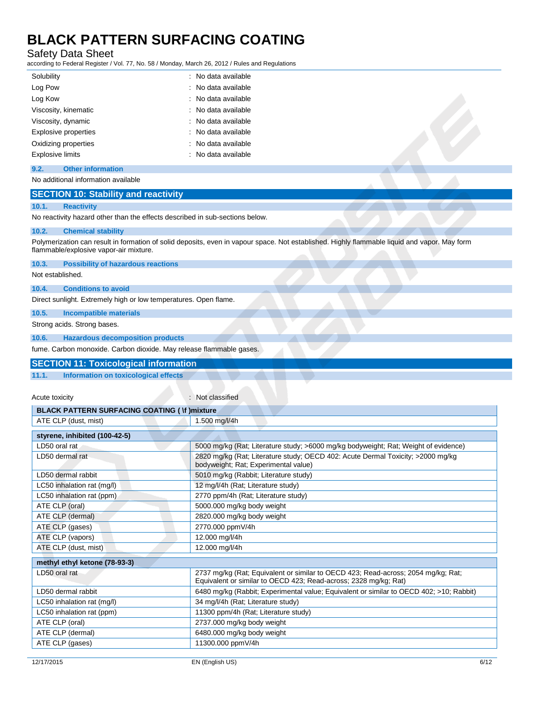Safety Data Sheet

according to Federal Register / Vol. 77, No. 58 / Monday, March 26, 2012 / Rules and Regulations

| Solubility                  | : No data available |
|-----------------------------|---------------------|
| Log Pow                     | : No data available |
| Log Kow                     | : No data available |
| Viscosity, kinematic        | : No data available |
| Viscosity, dynamic          | : No data available |
| <b>Explosive properties</b> | : No data available |
| Oxidizing properties        | : No data available |
| <b>Explosive limits</b>     | : No data available |

### **9.2. Other information**

No additional information available

### **SECTION 10: Stability and reactivity**

#### **10.1. Reactivity**

No reactivity hazard other than the effects described in sub-sections below.

#### **10.2. Chemical stability**

Polymerization can result in formation of solid deposits, even in vapour space. Not established. Highly flammable liquid and vapor. May form flammable/explosive vapor-air mixture.

**10.3. Possibility of hazardous reactions**

Not established.

#### **10.4. Conditions to avoid**

Direct sunlight. Extremely high or low temperatures. Open flame.

**10.5. Incompatible materials**

Strong acids. Strong bases.

**10.6. Hazardous decomposition products**

fume. Carbon monoxide. Carbon dioxide. May release flammable gases.

#### **SECTION 11: Toxicological information**

**11.1. Information on toxicological effects**

Acute toxicity in the classified in the classified in the classified in the classified in the classified in the classified in the classified in the classified in the classified in the classified in the classified in the cl

| <b>BLACK PATTERN SURFACING COATING (Vf) mixture</b> |                                                                                                                                                       |  |
|-----------------------------------------------------|-------------------------------------------------------------------------------------------------------------------------------------------------------|--|
| ATE CLP (dust, mist)                                | 1.500 mg/l/4h                                                                                                                                         |  |
| styrene, inhibited (100-42-5)                       |                                                                                                                                                       |  |
| LD50 oral rat                                       | 5000 mg/kg (Rat; Literature study; >6000 mg/kg bodyweight; Rat; Weight of evidence)                                                                   |  |
| LD50 dermal rat                                     | 2820 mg/kg (Rat; Literature study; OECD 402: Acute Dermal Toxicity; >2000 mg/kg<br>bodyweight; Rat; Experimental value)                               |  |
| LD50 dermal rabbit                                  | 5010 mg/kg (Rabbit; Literature study)                                                                                                                 |  |
| LC50 inhalation rat (mg/l)                          | 12 mg/l/4h (Rat; Literature study)                                                                                                                    |  |
| LC50 inhalation rat (ppm)                           | 2770 ppm/4h (Rat; Literature study)                                                                                                                   |  |
| ATE CLP (oral)                                      | 5000.000 mg/kg body weight                                                                                                                            |  |
| ATE CLP (dermal)                                    | 2820.000 mg/kg body weight                                                                                                                            |  |
| ATE CLP (gases)                                     | 2770.000 ppmV/4h                                                                                                                                      |  |
| ATE CLP (vapors)                                    | 12.000 mg/l/4h                                                                                                                                        |  |
| ATE CLP (dust, mist)                                | 12.000 mg/l/4h                                                                                                                                        |  |
| methyl ethyl ketone (78-93-3)                       |                                                                                                                                                       |  |
| LD50 oral rat                                       | 2737 mg/kg (Rat; Equivalent or similar to OECD 423; Read-across; 2054 mg/kg; Rat;<br>Equivalent or similar to OECD 423; Read-across; 2328 mg/kg; Rat) |  |
| LD50 dermal rabbit                                  | 6480 mg/kg (Rabbit; Experimental value; Equivalent or similar to OECD 402; >10; Rabbit)                                                               |  |
| LC50 inhalation rat (mg/l)                          | 34 mg/l/4h (Rat; Literature study)                                                                                                                    |  |
| LC50 inhalation rat (ppm)                           | 11300 ppm/4h (Rat; Literature study)                                                                                                                  |  |
| ATE CLP (oral)                                      | 2737.000 mg/kg body weight                                                                                                                            |  |
| ATE CLP (dermal)                                    | 6480.000 mg/kg body weight                                                                                                                            |  |
| ATE CLP (gases)                                     | 11300.000 ppmV/4h                                                                                                                                     |  |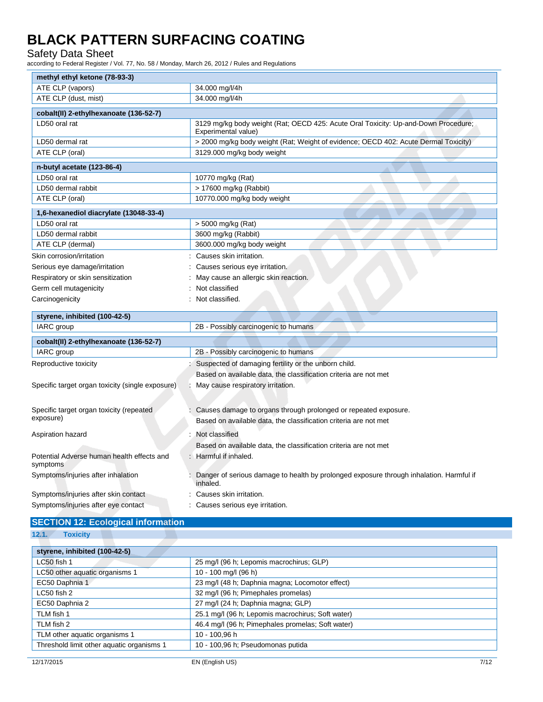Safety Data Sheet

according to Federal Register / Vol. 77, No. 58 / Monday, March 26, 2012 / Rules and Regulations

| methyl ethyl ketone (78-93-3)                          |                                                                                                           |  |
|--------------------------------------------------------|-----------------------------------------------------------------------------------------------------------|--|
| ATE CLP (vapors)                                       | 34.000 mg/l/4h                                                                                            |  |
| ATE CLP (dust, mist)                                   | 34.000 mg/l/4h                                                                                            |  |
| cobalt(II) 2-ethylhexanoate (136-52-7)                 |                                                                                                           |  |
| LD50 oral rat                                          | 3129 mg/kg body weight (Rat; OECD 425: Acute Oral Toxicity: Up-and-Down Procedure;<br>Experimental value) |  |
| LD50 dermal rat                                        | > 2000 mg/kg body weight (Rat; Weight of evidence; OECD 402: Acute Dermal Toxicity)                       |  |
| ATE CLP (oral)                                         | 3129.000 mg/kg body weight                                                                                |  |
| n-butyl acetate (123-86-4)                             |                                                                                                           |  |
| LD50 oral rat                                          | 10770 mg/kg (Rat)                                                                                         |  |
| LD50 dermal rabbit                                     | > 17600 mg/kg (Rabbit)                                                                                    |  |
| ATE CLP (oral)                                         | 10770.000 mg/kg body weight                                                                               |  |
| 1,6-hexanediol diacrylate (13048-33-4)                 |                                                                                                           |  |
| LD50 oral rat                                          | > 5000 mg/kg (Rat)                                                                                        |  |
| LD50 dermal rabbit                                     | 3600 mg/kg (Rabbit)                                                                                       |  |
| ATE CLP (dermal)                                       | 3600.000 mg/kg body weight                                                                                |  |
| Skin corrosion/irritation                              | Causes skin irritation.                                                                                   |  |
| Serious eye damage/irritation                          | Causes serious eye irritation.                                                                            |  |
| Respiratory or skin sensitization                      | May cause an allergic skin reaction.                                                                      |  |
| Germ cell mutagenicity                                 | Not classified                                                                                            |  |
| Carcinogenicity                                        | Not classified.                                                                                           |  |
| styrene, inhibited (100-42-5)                          |                                                                                                           |  |
| IARC group                                             | 2B - Possibly carcinogenic to humans                                                                      |  |
| cobalt(II) 2-ethylhexanoate (136-52-7)                 |                                                                                                           |  |
| IARC group                                             | 2B - Possibly carcinogenic to humans                                                                      |  |
| Reproductive toxicity                                  | Suspected of damaging fertility or the unborn child.                                                      |  |
|                                                        | Based on available data, the classification criteria are not met                                          |  |
| Specific target organ toxicity (single exposure)       | May cause respiratory irritation.                                                                         |  |
|                                                        |                                                                                                           |  |
| Specific target organ toxicity (repeated               | Causes damage to organs through prolonged or repeated exposure.                                           |  |
| exposure)                                              | Based on available data, the classification criteria are not met                                          |  |
|                                                        |                                                                                                           |  |
| Aspiration hazard                                      | Not classified                                                                                            |  |
|                                                        | Based on available data, the classification criteria are not met                                          |  |
| Potential Adverse human health effects and<br>symptoms | : Harmful if inhaled.                                                                                     |  |
| Symptoms/injuries after inhalation                     | Danger of serious damage to health by prolonged exposure through inhalation. Harmful if<br>inhaled.       |  |
| Symptoms/injuries after skin contact                   | Causes skin irritation.                                                                                   |  |
| Symptoms/injuries after eye contact                    | Causes serious eye irritation.                                                                            |  |

### **SECTION 12: Ecological information**

| 12.1. | <b>Toxicity</b> |
|-------|-----------------|
|-------|-----------------|

| 25 mg/l (96 h; Lepomis macrochirus; GLP)          |
|---------------------------------------------------|
|                                                   |
| 10 - 100 mg/l (96 h)                              |
| 23 mg/l (48 h; Daphnia magna; Locomotor effect)   |
| 32 mg/l (96 h; Pimephales promelas)               |
| 27 mg/l (24 h; Daphnia magna; GLP)                |
| 25.1 mg/l (96 h; Lepomis macrochirus; Soft water) |
| 46.4 mg/l (96 h; Pimephales promelas; Soft water) |
| 10 - 100.96 h                                     |
| 10 - 100,96 h; Pseudomonas putida                 |
|                                                   |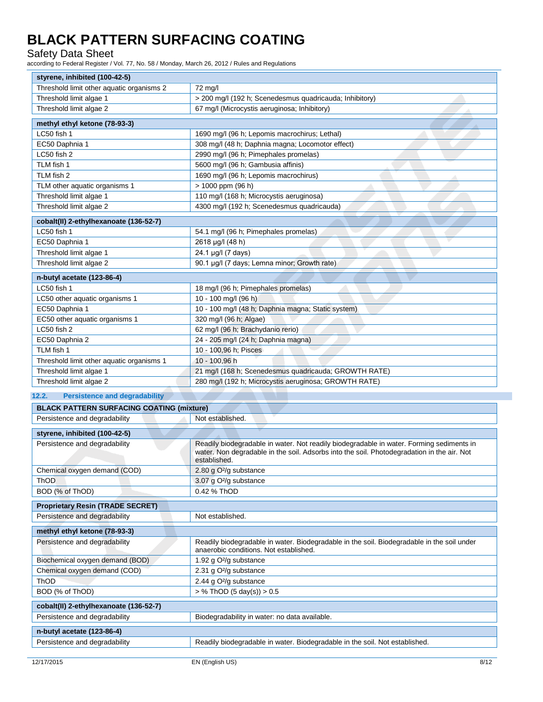Safety Data Sheet

| styrene, inhibited (100-42-5)                                            |                                                                                                                                                                                                        |
|--------------------------------------------------------------------------|--------------------------------------------------------------------------------------------------------------------------------------------------------------------------------------------------------|
| Threshold limit other aquatic organisms 2                                | 72 mg/l                                                                                                                                                                                                |
| Threshold limit algae 1                                                  | > 200 mg/l (192 h; Scenedesmus quadricauda; Inhibitory)                                                                                                                                                |
| Threshold limit algae 2                                                  | 67 mg/l (Microcystis aeruginosa; Inhibitory)                                                                                                                                                           |
| methyl ethyl ketone (78-93-3)                                            |                                                                                                                                                                                                        |
| LC50 fish 1                                                              | 1690 mg/l (96 h; Lepomis macrochirus; Lethal)                                                                                                                                                          |
| EC50 Daphnia 1                                                           | 308 mg/l (48 h; Daphnia magna; Locomotor effect)                                                                                                                                                       |
| LC50 fish 2                                                              | 2990 mg/l (96 h; Pimephales promelas)                                                                                                                                                                  |
| TLM fish 1                                                               | 5600 mg/l (96 h; Gambusia affinis)                                                                                                                                                                     |
| TLM fish 2                                                               | 1690 mg/l (96 h; Lepomis macrochirus)                                                                                                                                                                  |
| TLM other aquatic organisms 1                                            | > 1000 ppm (96 h)                                                                                                                                                                                      |
| Threshold limit algae 1                                                  | 110 mg/l (168 h; Microcystis aeruginosa)                                                                                                                                                               |
| Threshold limit algae 2                                                  | 4300 mg/l (192 h; Scenedesmus quadricauda)                                                                                                                                                             |
|                                                                          |                                                                                                                                                                                                        |
| cobalt(II) 2-ethylhexanoate (136-52-7)                                   |                                                                                                                                                                                                        |
| LC50 fish 1                                                              | 54.1 mg/l (96 h; Pimephales promelas)                                                                                                                                                                  |
| EC50 Daphnia 1                                                           | 2618 µg/l (48 h)                                                                                                                                                                                       |
| Threshold limit algae 1                                                  | 24.1 µg/l (7 days)                                                                                                                                                                                     |
| Threshold limit algae 2                                                  | 90.1 µg/l (7 days; Lemna minor; Growth rate)                                                                                                                                                           |
| n-butyl acetate (123-86-4)                                               |                                                                                                                                                                                                        |
| LC50 fish 1                                                              | 18 mg/l (96 h; Pimephales promelas)                                                                                                                                                                    |
| LC50 other aquatic organisms 1                                           | 10 - 100 mg/l (96 h)                                                                                                                                                                                   |
| EC50 Daphnia 1                                                           | 10 - 100 mg/l (48 h; Daphnia magna; Static system)                                                                                                                                                     |
| EC50 other aquatic organisms 1                                           | 320 mg/l (96 h; Algae)                                                                                                                                                                                 |
| LC50 fish 2                                                              | 62 mg/l (96 h; Brachydanio rerio)                                                                                                                                                                      |
| EC50 Daphnia 2                                                           | 24 - 205 mg/l (24 h; Daphnia magna)                                                                                                                                                                    |
| TLM fish 1                                                               | 10 - 100,96 h; Pisces                                                                                                                                                                                  |
| Threshold limit other aquatic organisms 1                                | 10 - 100,96 h                                                                                                                                                                                          |
| Threshold limit algae 1                                                  | 21 mg/l (168 h; Scenedesmus quadricauda; GROWTH RATE)                                                                                                                                                  |
| Threshold limit algae 2                                                  | 280 mg/l (192 h; Microcystis aeruginosa; GROWTH RATE)                                                                                                                                                  |
| 12.2.<br><b>Persistence and degradability</b>                            |                                                                                                                                                                                                        |
| <b>BLACK PATTERN SURFACING COATING (mixture)</b>                         |                                                                                                                                                                                                        |
| Persistence and degradability                                            | Not established.                                                                                                                                                                                       |
|                                                                          |                                                                                                                                                                                                        |
| styrene, inhibited (100-42-5)                                            |                                                                                                                                                                                                        |
| Persistence and degradability                                            | Readily biodegradable in water. Not readily biodegradable in water. Forming sediments in<br>water. Non degradable in the soil. Adsorbs into the soil. Photodegradation in the air. Not<br>established. |
| Chemical oxygen demand (COD)                                             | 2.80 g O <sup>2</sup> /g substance                                                                                                                                                                     |
| ThOD                                                                     | 3.07 g O <sup>2</sup> /g substance                                                                                                                                                                     |
| BOD (% of ThOD)                                                          | 0.42 % ThOD                                                                                                                                                                                            |
|                                                                          |                                                                                                                                                                                                        |
| <b>Proprietary Resin (TRADE SECRET)</b><br>Persistence and degradability | Not established.                                                                                                                                                                                       |
|                                                                          |                                                                                                                                                                                                        |
| methyl ethyl ketone (78-93-3)                                            |                                                                                                                                                                                                        |
| Persistence and degradability                                            | Readily biodegradable in water. Biodegradable in the soil. Biodegradable in the soil under<br>anaerobic conditions. Not established.                                                                   |
| Biochemical oxygen demand (BOD)                                          | 1.92 g O <sup>2</sup> /g substance                                                                                                                                                                     |
| Chemical oxygen demand (COD)                                             | 2.31 g O <sup>2</sup> /g substance                                                                                                                                                                     |
| ThOD                                                                     | 2.44 g O <sup>2</sup> /g substance                                                                                                                                                                     |
| BOD (% of ThOD)                                                          | $>$ % ThOD (5 day(s)) $>$ 0.5                                                                                                                                                                          |
| cobalt(II) 2-ethylhexanoate (136-52-7)                                   |                                                                                                                                                                                                        |
| Persistence and degradability                                            | Biodegradability in water: no data available.                                                                                                                                                          |
|                                                                          |                                                                                                                                                                                                        |
| n-butyl acetate (123-86-4)<br>Persistence and degradability              |                                                                                                                                                                                                        |
|                                                                          | Readily biodegradable in water. Biodegradable in the soil. Not established.                                                                                                                            |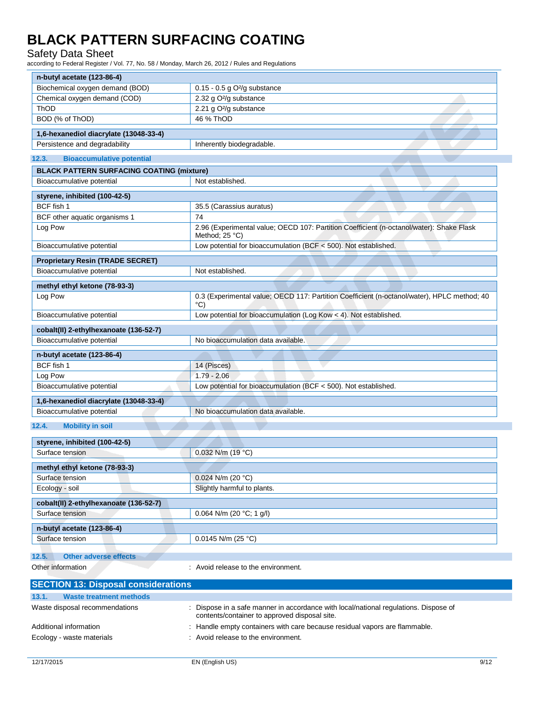### Safety Data Sheet

| n-butyl acetate (123-86-4)                       |                                                                                                                                       |
|--------------------------------------------------|---------------------------------------------------------------------------------------------------------------------------------------|
| Biochemical oxygen demand (BOD)                  | $0.15 - 0.5$ g O <sup>2</sup> /g substance                                                                                            |
| Chemical oxygen demand (COD)                     | 2.32 g O <sup>2</sup> /g substance                                                                                                    |
| ThOD                                             | 2.21 g O <sup>2</sup> /g substance                                                                                                    |
| BOD (% of ThOD)                                  | 46 % ThOD                                                                                                                             |
|                                                  |                                                                                                                                       |
| 1,6-hexanediol diacrylate (13048-33-4)           |                                                                                                                                       |
| Persistence and degradability                    | Inherently biodegradable.                                                                                                             |
| 12.3.<br><b>Bioaccumulative potential</b>        |                                                                                                                                       |
| <b>BLACK PATTERN SURFACING COATING (mixture)</b> |                                                                                                                                       |
| Bioaccumulative potential                        | Not established.                                                                                                                      |
|                                                  |                                                                                                                                       |
| styrene, inhibited (100-42-5)                    |                                                                                                                                       |
| BCF fish 1                                       | 35.5 (Carassius auratus)                                                                                                              |
| BCF other aquatic organisms 1                    | 74                                                                                                                                    |
| Log Pow                                          | 2.96 (Experimental value; OECD 107: Partition Coefficient (n-octanol/water): Shake Flask<br>Method; $25 °C$ )                         |
| Bioaccumulative potential                        | Low potential for bioaccumulation (BCF < 500). Not established.                                                                       |
| <b>Proprietary Resin (TRADE SECRET)</b>          |                                                                                                                                       |
| Bioaccumulative potential                        | Not established.                                                                                                                      |
| methyl ethyl ketone (78-93-3)                    |                                                                                                                                       |
| Log Pow                                          | 0.3 (Experimental value; OECD 117: Partition Coefficient (n-octanol/water), HPLC method; 40                                           |
|                                                  | $^{\circ}$ C)                                                                                                                         |
| Bioaccumulative potential                        | Low potential for bioaccumulation (Log Kow < 4). Not established.                                                                     |
| cobalt(II) 2-ethylhexanoate (136-52-7)           |                                                                                                                                       |
| Bioaccumulative potential                        | No bioaccumulation data available.                                                                                                    |
| n-butyl acetate (123-86-4)                       |                                                                                                                                       |
| BCF fish 1                                       | 14 (Pisces)                                                                                                                           |
| Log Pow                                          | $1.79 - 2.06$                                                                                                                         |
| Bioaccumulative potential                        | Low potential for bioaccumulation (BCF < 500). Not established.                                                                       |
| 1,6-hexanediol diacrylate (13048-33-4)           |                                                                                                                                       |
| Bioaccumulative potential                        | No bioaccumulation data available.                                                                                                    |
|                                                  |                                                                                                                                       |
| 12.4.<br><b>Mobility in soil</b>                 |                                                                                                                                       |
| styrene, inhibited (100-42-5)                    |                                                                                                                                       |
| Surface tension                                  | 0.032 N/m (19 °C)                                                                                                                     |
|                                                  |                                                                                                                                       |
| methyl ethyl ketone (78-93-3)                    |                                                                                                                                       |
| Surface tension                                  | 0.024 N/m (20 °C)                                                                                                                     |
| Ecology - soil                                   | Slightly harmful to plants.                                                                                                           |
| cobalt(II) 2-ethylhexanoate (136-52-7)           |                                                                                                                                       |
| Surface tension                                  | 0.064 N/m (20 °C; 1 g/l)                                                                                                              |
| n-butyl acetate (123-86-4)                       |                                                                                                                                       |
| Surface tension                                  | $0.0145$ N/m (25 °C)                                                                                                                  |
|                                                  |                                                                                                                                       |
| 12.5.<br><b>Other adverse effects</b>            |                                                                                                                                       |
| Other information                                | : Avoid release to the environment.                                                                                                   |
| <b>SECTION 13: Disposal considerations</b>       |                                                                                                                                       |
| 13.1.<br><b>Waste treatment methods</b>          |                                                                                                                                       |
| Waste disposal recommendations                   | : Dispose in a safe manner in accordance with local/national regulations. Dispose of<br>contents/container to approved disposal site. |
| Additional information                           | Handle empty containers with care because residual vapors are flammable.                                                              |
| Ecology - waste materials                        | : Avoid release to the environment.                                                                                                   |
|                                                  |                                                                                                                                       |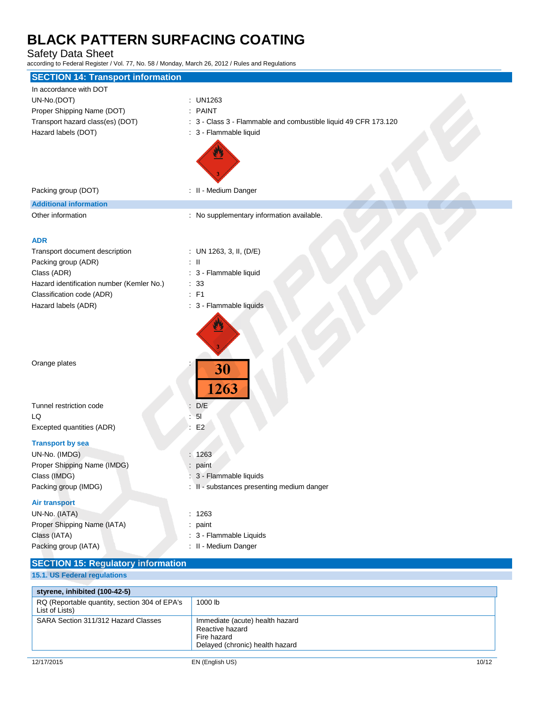### Safety Data Sheet

| according to I cacial Register / Vol. 77, No. 50 / Monday, March 20, 2012 / Raics and Regulatoris                              |                                                                                                                  |
|--------------------------------------------------------------------------------------------------------------------------------|------------------------------------------------------------------------------------------------------------------|
| <b>SECTION 14: Transport information</b>                                                                                       |                                                                                                                  |
| In accordance with DOT<br>UN-No.(DOT)<br>Proper Shipping Name (DOT)<br>Transport hazard class(es) (DOT)<br>Hazard labels (DOT) | : UN1263<br>: PAINT<br>: 3 - Class 3 - Flammable and combustible liquid 49 CFR 173.120<br>: 3 - Flammable liquid |
| Packing group (DOT)                                                                                                            | : II - Medium Danger                                                                                             |
| <b>Additional information</b>                                                                                                  |                                                                                                                  |
| Other information<br><b>ADR</b>                                                                                                | : No supplementary information available.                                                                        |
| Transport document description                                                                                                 | : UN 1263, 3, II, $(D/E)$                                                                                        |
| Packing group (ADR)                                                                                                            | $\pm$ 11                                                                                                         |
| Class (ADR)                                                                                                                    | : 3 - Flammable liquid                                                                                           |
| Hazard identification number (Kemler No.)                                                                                      | : 33                                                                                                             |
| Classification code (ADR)                                                                                                      | $:$ F1                                                                                                           |
| Hazard labels (ADR)                                                                                                            | : 3 - Flammable liquids                                                                                          |
| Orange plates                                                                                                                  | 30<br>1263                                                                                                       |
| Tunnel restriction code                                                                                                        | D/E                                                                                                              |
| LQ                                                                                                                             | 5 <sub>l</sub>                                                                                                   |
| Excepted quantities (ADR)                                                                                                      | E2                                                                                                               |
| <b>Transport by sea</b>                                                                                                        |                                                                                                                  |
| UN-No. (IMDG)                                                                                                                  | : 1263                                                                                                           |
| Proper Shipping Name (IMDG)                                                                                                    | paint                                                                                                            |
| Class (IMDG)                                                                                                                   | 3 - Flammable liquids                                                                                            |
| Packing group (IMDG)                                                                                                           | : II - substances presenting medium danger                                                                       |
| <b>Air transport</b><br>UN-No. (IATA)<br>Proper Shipping Name (IATA)<br>Class (IATA)<br>Packing group (IATA)                   | : 1263<br>: paint<br>: 3 - Flammable Liquids<br>: II - Medium Danger                                             |
| <b>SECTION 15: Regulatory information</b>                                                                                      |                                                                                                                  |
| 15.1. US Federal regulations                                                                                                   |                                                                                                                  |

| styrene, inhibited (100-42-5)                                   |                                                                                                      |       |
|-----------------------------------------------------------------|------------------------------------------------------------------------------------------------------|-------|
| RQ (Reportable quantity, section 304 of EPA's<br>List of Lists) | 1000 lb                                                                                              |       |
| SARA Section 311/312 Hazard Classes                             | Immediate (acute) health hazard<br>Reactive hazard<br>Fire hazard<br>Delayed (chronic) health hazard |       |
| 12/17/2015                                                      | EN (English US)                                                                                      | 10/12 |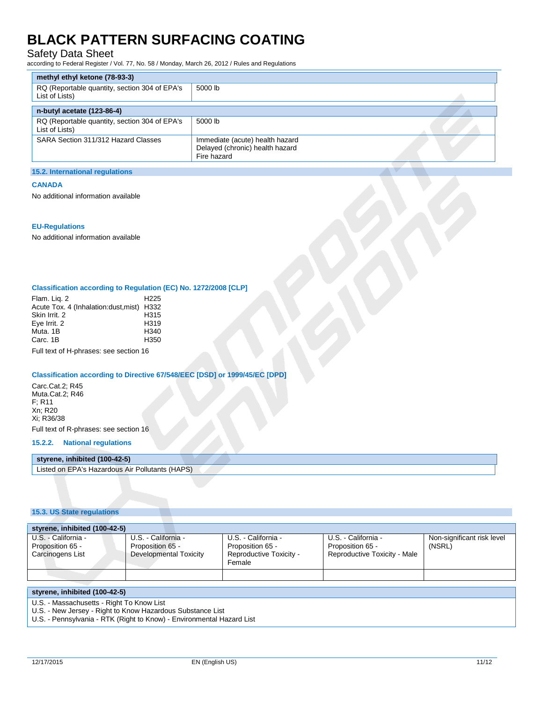### Safety Data Sheet

according to Federal Register / Vol. 77, No. 58 / Monday, March 26, 2012 / Rules and Regulations

| methyl ethyl ketone (78-93-3)                                   |                                                                                   |  |
|-----------------------------------------------------------------|-----------------------------------------------------------------------------------|--|
| RQ (Reportable quantity, section 304 of EPA's<br>List of Lists) | 5000 lb                                                                           |  |
| n-butyl acetate (123-86-4)                                      |                                                                                   |  |
| RQ (Reportable quantity, section 304 of EPA's<br>List of Lists) | 5000 lb                                                                           |  |
| SARA Section 311/312 Hazard Classes                             | Immediate (acute) health hazard<br>Delayed (chronic) health hazard<br>Fire hazard |  |

#### **15.2. International regulations**

#### **CANADA**

No additional information available

#### **EU-Regulations**

No additional information available

### **Classification according to Regulation (EC) No. 1272/2008 [CLP]**

| H <sub>225</sub>                           |
|--------------------------------------------|
| Acute Tox. 4 (Inhalation: dust, mist) H332 |
| H315                                       |
| H <sub>319</sub>                           |
| H <sub>340</sub>                           |
| H <sub>350</sub>                           |
|                                            |

Full text of H-phrases: see section 16

### **Classification according to Directive 67/548/EEC [DSD] or 1999/45/EC [DPD]**

Carc.Cat.2; R45 Muta.Cat.2; R46 F; R11 Xn; R20 Xi; R36/38 Full text of R-phrases: see section 16

### **15.2.2. National regulations**

### **styrene, inhibited (100-42-5)**

Listed on EPA's Hazardous Air Pollutants (HAPS)

### **15.3. US State regulations**

| styrene, inhibited (100-42-5)                               |                                                                   |                                                                              |                                                                         |                                      |
|-------------------------------------------------------------|-------------------------------------------------------------------|------------------------------------------------------------------------------|-------------------------------------------------------------------------|--------------------------------------|
| U.S. - California -<br>Proposition 65 -<br>Carcinogens List | U.S. - California -<br>Proposition 65 -<br>Developmental Toxicity | U.S. - California -<br>Proposition 65 -<br>Reproductive Toxicity -<br>Female | U.S. - California -<br>Proposition 65 -<br>Reproductive Toxicity - Male | Non-significant risk level<br>(NSRL) |
|                                                             |                                                                   |                                                                              |                                                                         |                                      |

#### **styrene, inhibited (100-42-5)**

U.S. - Massachusetts - Right To Know List

U.S. - New Jersey - Right to Know Hazardous Substance List

U.S. - Pennsylvania - RTK (Right to Know) - Environmental Hazard List